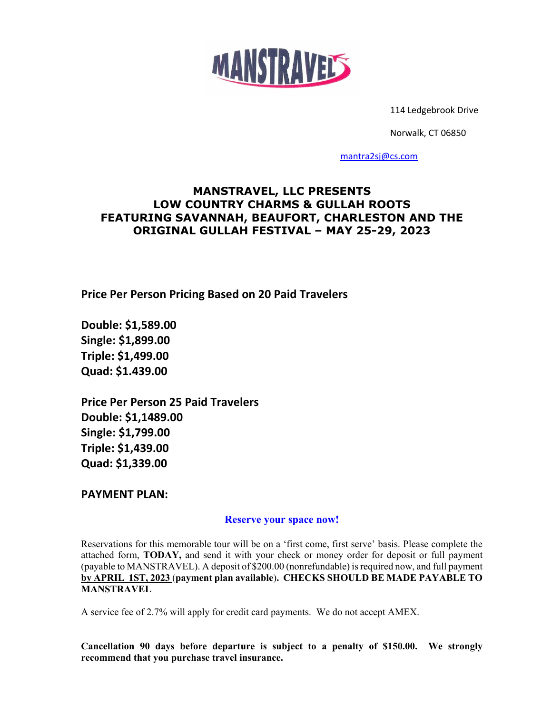

114 Ledgebrook Drive

Norwalk, CT 06850

[mantra2sj@cs.com](mailto:mantra2sj@cs.com)

### **MANSTRAVEL, LLC PRESENTS LOW COUNTRY CHARMS & GULLAH ROOTS FEATURING SAVANNAH, BEAUFORT, CHARLESTON AND THE ORIGINAL GULLAH FESTIVAL – MAY 25-29, 2023**

**Price Per Person Pricing Based on 20 Paid Travelers** 

**Double: \$1,589.00 Single: \$1,899.00 Triple: \$1,499.00 Quad: \$1.439.00**

**Price Per Person 25 Paid Travelers Double: \$1,1489.00 Single: \$1,799.00 Triple: \$1,439.00 Quad: \$1,339.00**

**PAYMENT PLAN:**

#### **Reserve your space now!**

Reservations for this memorable tour will be on a 'first come, first serve' basis. Please complete the attached form, **TODAY,** and send it with your check or money order for deposit or full payment (payable to MANSTRAVEL). A deposit of \$200.00 (nonrefundable) is required now, and full payment **by APRIL 1ST, 2023** (**payment plan available**)**. CHECKS SHOULD BE MADE PAYABLE TO MANSTRAVEL**

A service fee of 2.7% will apply for credit card payments. We do not accept AMEX.

**Cancellation 90 days before departure is subject to a penalty of \$150.00. We strongly recommend that you purchase travel insurance.**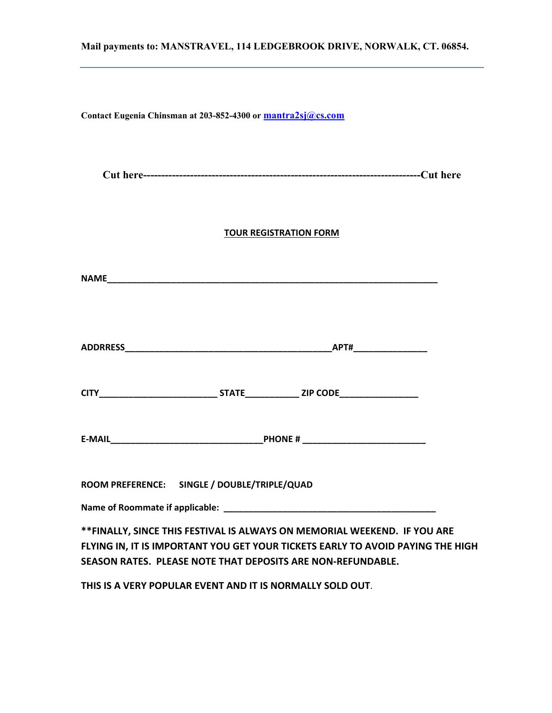# **Mail payments to: MANSTRAVEL, 114 LEDGEBROOK DRIVE, NORWALK, CT. 06854. Contact Eugenia Chinsman at 203-852-4300 or [mantra2sj@cs.com](mailto:mantra2sj@cs.com)  Cut here-----------------------------------------------------------------------------Cut here TOUR REGISTRATION FORM NAME ADDRRESS\_\_\_\_\_\_\_\_\_\_\_\_\_\_\_\_\_\_\_\_\_\_\_\_\_\_\_\_\_\_\_\_\_\_\_\_\_\_\_\_\_\_APT#\_\_\_\_\_\_\_\_\_\_\_\_\_\_\_ CITY\_\_\_\_\_\_\_\_\_\_\_\_\_\_\_\_\_\_\_\_\_\_\_\_ STATE\_\_\_\_\_\_\_\_\_\_\_ ZIP CODE\_\_\_\_\_\_\_\_\_\_\_\_\_\_\_\_ E-MAIL\_\_\_\_\_\_\_\_\_\_\_\_\_\_\_\_\_\_\_\_\_\_\_\_\_\_\_\_\_\_\_PHONE # \_\_\_\_\_\_\_\_\_\_\_\_\_\_\_\_\_\_\_\_\_\_\_\_\_ ROOM PREFERENCE: SINGLE / DOUBLE/TRIPLE/QUAD Name of Roommate if applicable: \_\_\_\_\_\_\_\_\_\_\_\_\_\_\_\_\_\_\_\_\_\_\_\_\_\_\_\_\_\_\_\_\_\_\_\_\_\_\_\_\_\_\_ \*\*FINALLY, SINCE THIS FESTIVAL IS ALWAYS ON MEMORIAL WEEKEND. IF YOU ARE FLYING IN, IT IS IMPORTANT YOU GET YOUR TICKETS EARLY TO AVOID PAYING THE HIGH SEASON RATES. PLEASE NOTE THAT DEPOSITS ARE NON-REFUNDABLE.**

**THIS IS A VERY POPULAR EVENT AND IT IS NORMALLY SOLD OUT**.